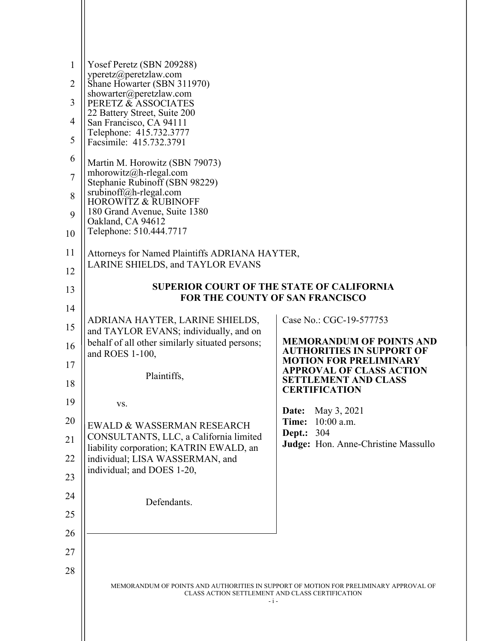| $\mathbf{1}$<br>$\overline{2}$ | Yosef Peretz (SBN 209288)<br>yperetz@peretzlaw.com<br>Shane Howarter (SBN 311970)<br>showarter@peretzlaw.com<br>PERETZ & ASSOCIATES<br>22 Battery Street, Suite 200 |                                                                     |  |  |
|--------------------------------|---------------------------------------------------------------------------------------------------------------------------------------------------------------------|---------------------------------------------------------------------|--|--|
| 3                              |                                                                                                                                                                     |                                                                     |  |  |
| $\overline{4}$                 | San Francisco, CA 94111<br>Telephone: 415.732.3777                                                                                                                  |                                                                     |  |  |
| 5                              | Facsimile: 415.732.3791                                                                                                                                             |                                                                     |  |  |
| 6                              | Martin M. Horowitz (SBN 79073)<br>mhorowitz@h-rlegal.com                                                                                                            |                                                                     |  |  |
| $\overline{7}$                 | Stephanie Rubinoff (SBN 98229)                                                                                                                                      |                                                                     |  |  |
| 8                              | srubinoff@h-rlegal.com<br><b>HOROWITZ &amp; RUBINOFF</b>                                                                                                            |                                                                     |  |  |
| 9<br>10                        | 180 Grand Avenue, Suite 1380<br>Oakland, CA 94612<br>Telephone: 510.444.7717                                                                                        |                                                                     |  |  |
| 11                             |                                                                                                                                                                     |                                                                     |  |  |
| 12                             | Attorneys for Named Plaintiffs ADRIANA HAYTER,<br>LARINE SHIELDS, and TAYLOR EVANS                                                                                  |                                                                     |  |  |
| 13                             | <b>SUPERIOR COURT OF THE STATE OF CALIFORNIA</b>                                                                                                                    |                                                                     |  |  |
| 14                             | <b>FOR THE COUNTY OF SAN FRANCISCO</b>                                                                                                                              |                                                                     |  |  |
| 15                             | ADRIANA HAYTER, LARINE SHIELDS,<br>and TAYLOR EVANS; individually, and on                                                                                           | Case No.: CGC-19-577753                                             |  |  |
| 16                             | behalf of all other similarly situated persons;<br>and ROES 1-100,                                                                                                  | <b>MEMORANDUM OF POINTS AND</b><br><b>AUTHORITIES IN SUPPORT OF</b> |  |  |
| 17                             |                                                                                                                                                                     | <b>MOTION FOR PRELIMINARY</b><br><b>APPROVAL OF CLASS ACTION</b>    |  |  |
| 18                             | Plaintiffs,                                                                                                                                                         | <b>SETTLEMENT AND CLASS</b><br><b>CERTIFICATION</b>                 |  |  |
| 19                             | VS.                                                                                                                                                                 | May 3, 2021<br>Date:                                                |  |  |
| 20                             | EWALD & WASSERMAN RESEARCH                                                                                                                                          | $10:00$ a.m.<br>Time:<br><b>Dept.: 304</b>                          |  |  |
| 21                             | CONSULTANTS, LLC, a California limited<br>liability corporation; KATRIN EWALD, an                                                                                   | Judge: Hon. Anne-Christine Massullo                                 |  |  |
| 22                             | individual; LISA WASSERMAN, and<br>individual; and DOES 1-20,                                                                                                       |                                                                     |  |  |
| 23                             |                                                                                                                                                                     |                                                                     |  |  |
| 24<br>25                       | Defendants.                                                                                                                                                         |                                                                     |  |  |
| 26                             |                                                                                                                                                                     |                                                                     |  |  |
| 27                             |                                                                                                                                                                     |                                                                     |  |  |
| 28                             |                                                                                                                                                                     |                                                                     |  |  |
|                                | MEMORANDUM OF POINTS AND AUTHORITIES IN SUPPORT OF MOTION FOR PRELIMINARY APPROVAL OF<br>CLASS ACTION SETTLEMENT AND CLASS CERTIFICATION<br>$-i -$                  |                                                                     |  |  |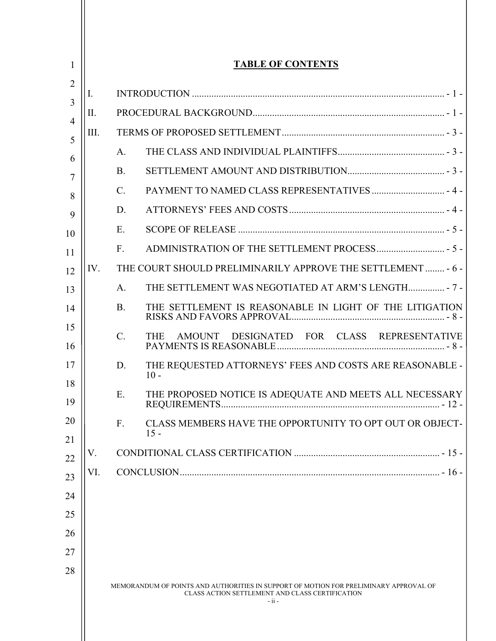| 1         | <b>TABLE OF CONTENTS</b> |                 |                                                                                                                                                     |
|-----------|--------------------------|-----------------|-----------------------------------------------------------------------------------------------------------------------------------------------------|
| 2         | I.                       |                 |                                                                                                                                                     |
| 3         | II.                      |                 |                                                                                                                                                     |
| 4<br>III. |                          |                 |                                                                                                                                                     |
| 5<br>6    |                          | A.              |                                                                                                                                                     |
| 7         |                          | <b>B.</b>       |                                                                                                                                                     |
| 8         |                          | $\mathcal{C}$ . |                                                                                                                                                     |
| 9         |                          | D.              |                                                                                                                                                     |
| 10        |                          | E.              |                                                                                                                                                     |
| 11        |                          | F.              |                                                                                                                                                     |
| 12        | IV.                      |                 | THE COURT SHOULD PRELIMINARILY APPROVE THE SETTLEMENT  - 6 -                                                                                        |
| 13        |                          | A.              |                                                                                                                                                     |
| 14        |                          | <b>B.</b>       | THE SETTLEMENT IS REASONABLE IN LIGHT OF THE LITIGATION                                                                                             |
| 15<br>16  |                          | $\mathcal{C}$ . | DESIGNATED FOR CLASS REPRESENTATIVE<br><b>THE</b><br>AMOUNT                                                                                         |
| 17        |                          | D.              | THE REQUESTED ATTORNEYS' FEES AND COSTS ARE REASONABLE -<br>$10 -$                                                                                  |
| 18<br>19  |                          | Ε.              | THE PROPOSED NOTICE IS ADEQUATE AND MEETS ALL NECESSARY                                                                                             |
| 20        |                          | F.              | CLASS MEMBERS HAVE THE OPPORTUNITY TO OPT OUT OR OBJECT-<br>$15 -$                                                                                  |
| 21        | V.                       |                 |                                                                                                                                                     |
| 22<br>23  | VI.                      |                 |                                                                                                                                                     |
| 24        |                          |                 |                                                                                                                                                     |
| 25        |                          |                 |                                                                                                                                                     |
| 26        |                          |                 |                                                                                                                                                     |
| 27        |                          |                 |                                                                                                                                                     |
| 28        |                          |                 |                                                                                                                                                     |
|           |                          |                 | MEMORANDUM OF POINTS AND AUTHORITIES IN SUPPORT OF MOTION FOR PRELIMINARY APPROVAL OF<br>CLASS ACTION SETTLEMENT AND CLASS CERTIFICATION<br>$-ii -$ |
|           |                          |                 |                                                                                                                                                     |

Ш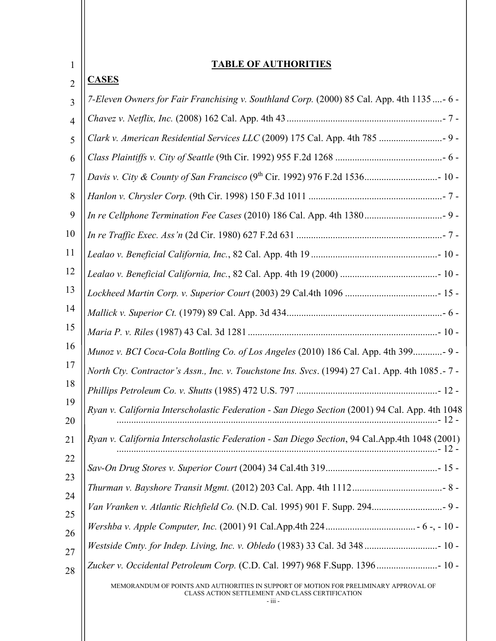| $\mathbf{1}$   | <b>TABLE OF AUTHORITIES</b>                                                                                                                         |
|----------------|-----------------------------------------------------------------------------------------------------------------------------------------------------|
| $\overline{2}$ | <b>CASES</b>                                                                                                                                        |
| $\overline{3}$ | 7-Eleven Owners for Fair Franchising v. Southland Corp. (2000) 85 Cal. App. 4th 1135 - 6 -                                                          |
| $\overline{4}$ |                                                                                                                                                     |
| 5              | Clark v. American Residential Services LLC (2009) 175 Cal. App. 4th 785  9 -                                                                        |
| 6              |                                                                                                                                                     |
| 7              |                                                                                                                                                     |
| 8              |                                                                                                                                                     |
| 9              |                                                                                                                                                     |
| 10             |                                                                                                                                                     |
| 11             |                                                                                                                                                     |
| 12             |                                                                                                                                                     |
| 13             |                                                                                                                                                     |
| 14             |                                                                                                                                                     |
| 15             |                                                                                                                                                     |
| 16             | Munoz v. BCI Coca-Cola Bottling Co. of Los Angeles (2010) 186 Cal. App. 4th 399- 9 -                                                                |
| 17             | North Cty. Contractor's Assn., Inc. v. Touchstone Ins. Svcs. (1994) 27 Ca1. App. 4th 1085.-7 -                                                      |
| 18             |                                                                                                                                                     |
| 19<br>20       | Ryan v. California Interscholastic Federation - San Diego Section (2001) 94 Cal. App. 4th 1048                                                      |
| 21             | Ryan v. California Interscholastic Federation - San Diego Section, 94 Cal.App.4th 1048 (2001)                                                       |
| 22             |                                                                                                                                                     |
| 23<br>24       |                                                                                                                                                     |
| 25             |                                                                                                                                                     |
| 26             |                                                                                                                                                     |
| 27             | Westside Cmty. for Indep. Living, Inc. v. Obledo (1983) 33 Cal. 3d 348  10 -                                                                        |
| 28             | Zucker v. Occidental Petroleum Corp. (C.D. Cal. 1997) 968 F.Supp. 1396 10 -                                                                         |
|                | MEMORANDUM OF POINTS AND AUTHORITIES IN SUPPORT OF MOTION FOR PRELIMINARY APPROVAL OF<br>CLASS ACTION SETTLEMENT AND CLASS CERTIFICATION<br>- iii - |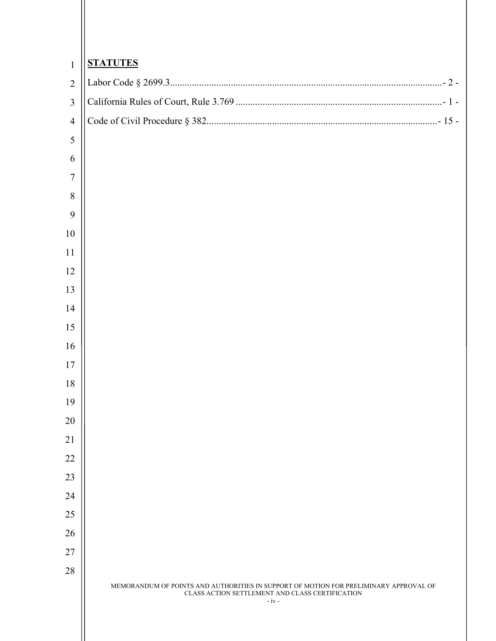| $\mathbf{1}$   | <b>STATUTES</b>                                                                                                                                     |
|----------------|-----------------------------------------------------------------------------------------------------------------------------------------------------|
| $\overline{2}$ |                                                                                                                                                     |
| $\overline{3}$ |                                                                                                                                                     |
| $\overline{4}$ |                                                                                                                                                     |
| $\sqrt{5}$     |                                                                                                                                                     |
| 6              |                                                                                                                                                     |
| $\overline{7}$ |                                                                                                                                                     |
| $\,8\,$        |                                                                                                                                                     |
| 9              |                                                                                                                                                     |
| 10             |                                                                                                                                                     |
| 11             |                                                                                                                                                     |
| 12             |                                                                                                                                                     |
| 13             |                                                                                                                                                     |
| 14             |                                                                                                                                                     |
| 15             |                                                                                                                                                     |
| 16             |                                                                                                                                                     |
| 17             |                                                                                                                                                     |
| 18             |                                                                                                                                                     |
| 19             |                                                                                                                                                     |
| 20             |                                                                                                                                                     |
| 21             |                                                                                                                                                     |
| 22             |                                                                                                                                                     |
| 23             |                                                                                                                                                     |
| 24             |                                                                                                                                                     |
| 25             |                                                                                                                                                     |
| 26             |                                                                                                                                                     |
| 27             |                                                                                                                                                     |
| 28             | MEMORANDUM OF POINTS AND AUTHORITIES IN SUPPORT OF MOTION FOR PRELIMINARY APPROVAL OF<br>CLASS ACTION SETTLEMENT AND CLASS CERTIFICATION<br>$-iv -$ |

 $\parallel$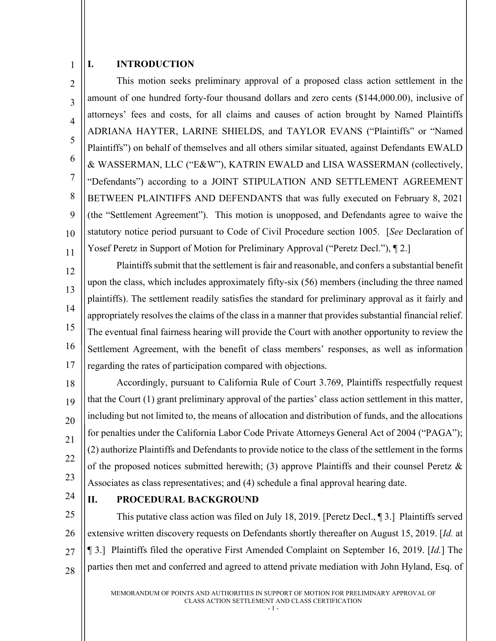#### <span id="page-4-0"></span>1 **I. INTRODUCTION**

 $\mathfrak{D}$ 3 4 5 6 7 8 9 10 11 This motion seeks preliminary approval of a proposed class action settlement in the amount of one hundred forty-four thousand dollars and zero cents (\$144,000.00), inclusive of attorneys' fees and costs, for all claims and causes of action brought by Named Plaintiffs ADRIANA HAYTER, LARINE SHIELDS, and TAYLOR EVANS ("Plaintiffs" or "Named Plaintiffs") on behalf of themselves and all others similar situated, against Defendants EWALD & WASSERMAN, LLC ("E&W"), KATRIN EWALD and LISA WASSERMAN (collectively, "Defendants") according to a JOINT STIPULATION AND SETTLEMENT AGREEMENT BETWEEN PLAINTIFFS AND DEFENDANTS that was fully executed on February 8, 2021 (the "Settlement Agreement"). This motion is unopposed, and Defendants agree to waive the statutory notice period pursuant to Code of Civil Procedure section 1005. [*See* Declaration of Yosef Peretz in Support of Motion for Preliminary Approval ("Peretz Decl."), ¶ 2.]

12 13 14 15 16 17 Plaintiffs submit that the settlement is fair and reasonable, and confers a substantial benefit upon the class, which includes approximately fifty-six (56) members (including the three named plaintiffs). The settlement readily satisfies the standard for preliminary approval as it fairly and appropriately resolves the claims of the class in a manner that provides substantial financial relief. The eventual final fairness hearing will provide the Court with another opportunity to review the Settlement Agreement, with the benefit of class members' responses, as well as information regarding the rates of participation compared with objections.

18 19 20 21 22 23 Accordingly, pursuant to California Rule of Court 3.769, Plaintiffs respectfully request that the Court (1) grant preliminary approval of the parties' class action settlement in this matter, including but not limited to, the means of allocation and distribution of funds, and the allocations for penalties under the California Labor Code Private Attorneys General Act of 2004 ("PAGA"); (2) authorize Plaintiffs and Defendants to provide notice to the class of the settlement in the forms of the proposed notices submitted herewith; (3) approve Plaintiffs and their counsel Peretz  $\&$ Associates as class representatives; and (4) schedule a final approval hearing date.

24

# <span id="page-4-1"></span>**II. PROCEDURAL BACKGROUND**

25 26 27 28 This putative class action was filed on July 18, 2019. [Peretz Decl., ¶ 3.] Plaintiffs served extensive written discovery requests on Defendants shortly thereafter on August 15, 2019. [*Id.* at ¶ 3.] Plaintiffs filed the operative First Amended Complaint on September 16, 2019. [*Id.*] The parties then met and conferred and agreed to attend private mediation with John Hyland, Esq. of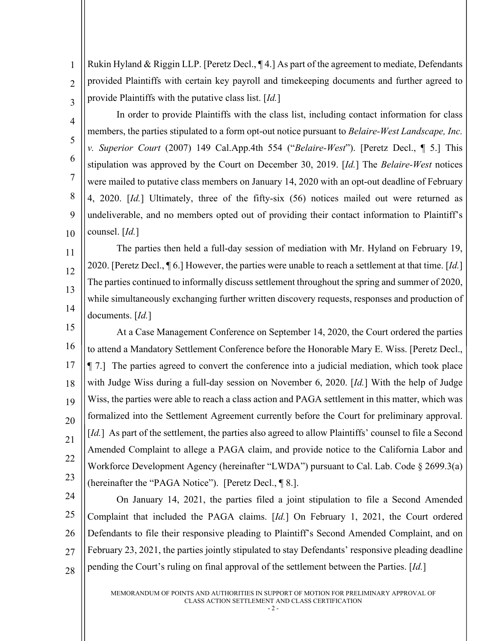Rukin Hyland & Riggin LLP. [Peretz Decl., ¶ 4.] As part of the agreement to mediate, Defendants provided Plaintiffs with certain key payroll and timekeeping documents and further agreed to provide Plaintiffs with the putative class list. [*Id.*]

1

 $\overline{2}$ 

3

4 5 6 7 8 9 10 In order to provide Plaintiffs with the class list, including contact information for class members, the parties stipulated to a form opt-out notice pursuant to *Belaire-West Landscape, Inc. v. Superior Court* (2007) 149 Cal.App.4th 554 ("*Belaire-West*"). [Peretz Decl., ¶ 5.] This stipulation was approved by the Court on December 30, 2019. [*Id.*] The *Belaire-West* notices were mailed to putative class members on January 14, 2020 with an opt-out deadline of February 4, 2020. [*Id.*] Ultimately, three of the fifty-six (56) notices mailed out were returned as undeliverable, and no members opted out of providing their contact information to Plaintiff's counsel. [*Id.*]

11 12 13 14 The parties then held a full-day session of mediation with Mr. Hyland on February 19, 2020. [Peretz Decl., ¶ 6.] However, the parties were unable to reach a settlement at that time. [*Id.*] The parties continued to informally discuss settlement throughout the spring and summer of 2020, while simultaneously exchanging further written discovery requests, responses and production of documents. [*Id.*]

15 16 17 18 19 20 21 22 23 At a Case Management Conference on September 14, 2020, the Court ordered the parties to attend a Mandatory Settlement Conference before the Honorable Mary E. Wiss. [Peretz Decl., ¶ 7.] The parties agreed to convert the conference into a judicial mediation, which took place with Judge Wiss during a full-day session on November 6, 2020. [*Id.*] With the help of Judge Wiss, the parties were able to reach a class action and PAGA settlement in this matter, which was formalized into the Settlement Agreement currently before the Court for preliminary approval. [*Id.*] As part of the settlement, the parties also agreed to allow Plaintiffs' counsel to file a Second Amended Complaint to allege a PAGA claim, and provide notice to the California Labor and Workforce Development Agency (hereinafter "LWDA") pursuant to Cal. Lab. Code § 2699.3(a) (hereinafter the "PAGA Notice"). [Peretz Decl., ¶ 8.].

24 25 26 27 28 On January 14, 2021, the parties filed a joint stipulation to file a Second Amended Complaint that included the PAGA claims. [*Id.*] On February 1, 2021, the Court ordered Defendants to file their responsive pleading to Plaintiff's Second Amended Complaint, and on February 23, 2021, the parties jointly stipulated to stay Defendants' responsive pleading deadline pending the Court's ruling on final approval of the settlement between the Parties. [*Id.*]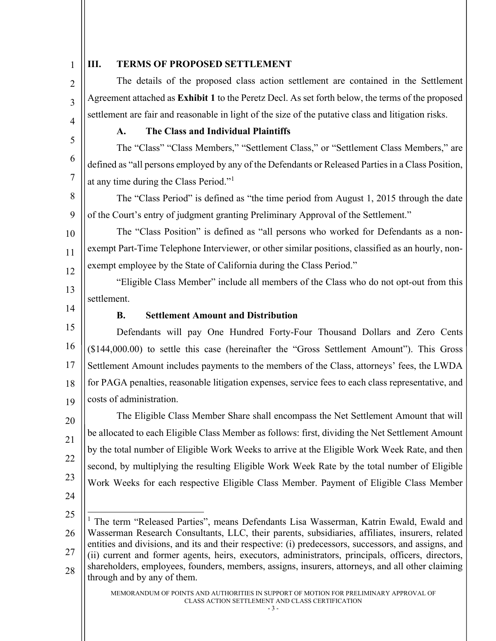<span id="page-6-1"></span><span id="page-6-0"></span>

| $\mathbf{1}$   | Ш.<br><b>TERMS OF PROPOSED SETTLEMENT</b>                                                                                                                                                               |  |
|----------------|---------------------------------------------------------------------------------------------------------------------------------------------------------------------------------------------------------|--|
| $\overline{2}$ | The details of the proposed class action settlement are contained in the Settlement                                                                                                                     |  |
| $\overline{3}$ | Agreement attached as Exhibit 1 to the Peretz Decl. As set forth below, the terms of the proposed                                                                                                       |  |
| $\overline{4}$ | settlement are fair and reasonable in light of the size of the putative class and litigation risks.                                                                                                     |  |
| 5              | The Class and Individual Plaintiffs<br>A.                                                                                                                                                               |  |
|                | The "Class" "Class Members," "Settlement Class," or "Settlement Class Members," are                                                                                                                     |  |
| 6              | defined as "all persons employed by any of the Defendants or Released Parties in a Class Position,                                                                                                      |  |
| $\tau$         | at any time during the Class Period." <sup>1</sup>                                                                                                                                                      |  |
| 8              | The "Class Period" is defined as "the time period from August 1, 2015 through the date                                                                                                                  |  |
| 9              | of the Court's entry of judgment granting Preliminary Approval of the Settlement."                                                                                                                      |  |
| 10             | The "Class Position" is defined as "all persons who worked for Defendants as a non-                                                                                                                     |  |
| 11             | exempt Part-Time Telephone Interviewer, or other similar positions, classified as an hourly, non-                                                                                                       |  |
| 12             | exempt employee by the State of California during the Class Period."                                                                                                                                    |  |
| 13             | "Eligible Class Member" include all members of the Class who do not opt-out from this                                                                                                                   |  |
| 14             | settlement.                                                                                                                                                                                             |  |
|                | <b>Settlement Amount and Distribution</b><br><b>B.</b>                                                                                                                                                  |  |
|                |                                                                                                                                                                                                         |  |
| 15             | Defendants will pay One Hundred Forty-Four Thousand Dollars and Zero Cents                                                                                                                              |  |
| 16             | (\$144,000.00) to settle this case (hereinafter the "Gross Settlement Amount"). This Gross                                                                                                              |  |
| 17             | Settlement Amount includes payments to the members of the Class, attorneys' fees, the LWDA                                                                                                              |  |
| 18             | for PAGA penalties, reasonable litigation expenses, service fees to each class representative, and                                                                                                      |  |
| 19             | costs of administration.                                                                                                                                                                                |  |
| 20             | The Eligible Class Member Share shall encompass the Net Settlement Amount that will                                                                                                                     |  |
|                | be allocated to each Eligible Class Member as follows: first, dividing the Net Settlement Amount                                                                                                        |  |
| 21             | by the total number of Eligible Work Weeks to arrive at the Eligible Work Week Rate, and then                                                                                                           |  |
| 22             | second, by multiplying the resulting Eligible Work Week Rate by the total number of Eligible                                                                                                            |  |
| 23             | Work Weeks for each respective Eligible Class Member. Payment of Eligible Class Member                                                                                                                  |  |
| 24             |                                                                                                                                                                                                         |  |
| 25             | The term "Released Parties", means Defendants Lisa Wasserman, Katrin Ewald, Ewald and                                                                                                                   |  |
| 26             | Wasserman Research Consultants, LLC, their parents, subsidiaries, affiliates, insurers, related<br>entities and divisions, and its and their respective: (i) predecessors, successors, and assigns, and |  |

<span id="page-6-3"></span><span id="page-6-2"></span>28 shareholders, employees, founders, members, assigns, insurers, attorneys, and all other claiming through and by any of them.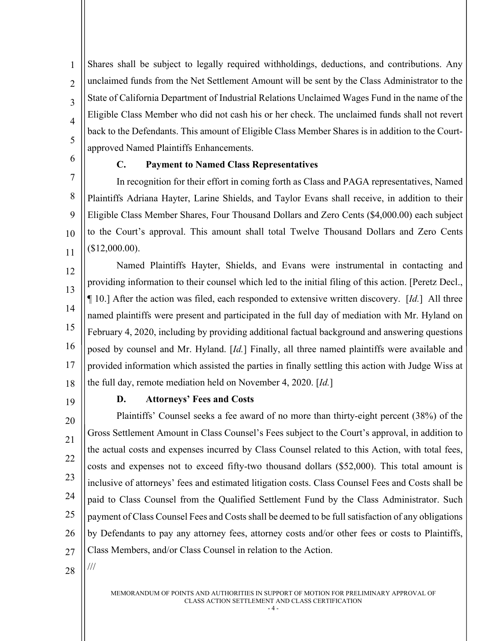Shares shall be subject to legally required withholdings, deductions, and contributions. Any unclaimed funds from the Net Settlement Amount will be sent by the Class Administrator to the State of California Department of Industrial Relations Unclaimed Wages Fund in the name of the Eligible Class Member who did not cash his or her check. The unclaimed funds shall not revert back to the Defendants. This amount of Eligible Class Member Shares is in addition to the Courtapproved Named Plaintiffs Enhancements.

<span id="page-7-0"></span>6 7

8

9

10

11

1

 $\mathfrak{D}$ 

3

4

5

# **C. Payment to Named Class Representatives**

In recognition for their effort in coming forth as Class and PAGA representatives, Named Plaintiffs Adriana Hayter, Larine Shields, and Taylor Evans shall receive, in addition to their Eligible Class Member Shares, Four Thousand Dollars and Zero Cents (\$4,000.00) each subject to the Court's approval. This amount shall total Twelve Thousand Dollars and Zero Cents (\$12,000.00).

12 13 14 15 16 17 18 Named Plaintiffs Hayter, Shields, and Evans were instrumental in contacting and providing information to their counsel which led to the initial filing of this action. [Peretz Decl., ¶ 10.] After the action was filed, each responded to extensive written discovery. [*Id.*] All three named plaintiffs were present and participated in the full day of mediation with Mr. Hyland on February 4, 2020, including by providing additional factual background and answering questions posed by counsel and Mr. Hyland. [*Id.*] Finally, all three named plaintiffs were available and provided information which assisted the parties in finally settling this action with Judge Wiss at the full day, remote mediation held on November 4, 2020. [*Id.*]

<span id="page-7-1"></span>19

#### **D. Attorneys' Fees and Costs**

20 21 22 23 24 25 26 27 Plaintiffs' Counsel seeks a fee award of no more than thirty-eight percent (38%) of the Gross Settlement Amount in Class Counsel's Fees subject to the Court's approval, in addition to the actual costs and expenses incurred by Class Counsel related to this Action, with total fees, costs and expenses not to exceed fifty-two thousand dollars (\$52,000). This total amount is inclusive of attorneys' fees and estimated litigation costs. Class Counsel Fees and Costs shall be paid to Class Counsel from the Qualified Settlement Fund by the Class Administrator. Such payment of Class Counsel Fees and Costs shall be deemed to be full satisfaction of any obligations by Defendants to pay any attorney fees, attorney costs and/or other fees or costs to Plaintiffs, Class Members, and/or Class Counsel in relation to the Action.

28

///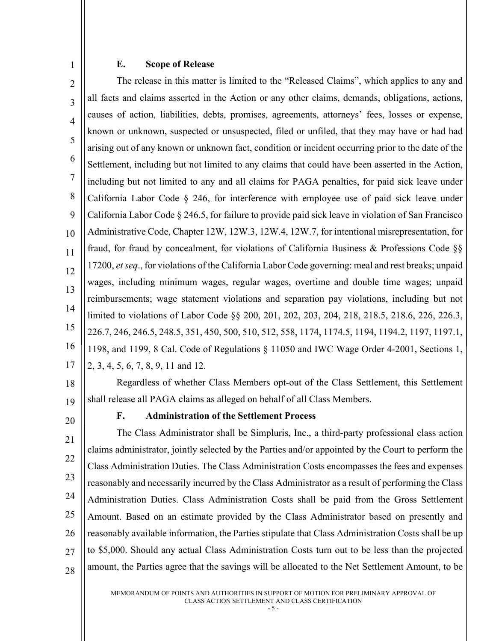## **E. Scope of Release**

 $\mathcal{D}$ 3 4 5 6 7 8 9 10 11 12 13 14 15 16 17 The release in this matter is limited to the "Released Claims", which applies to any and all facts and claims asserted in the Action or any other claims, demands, obligations, actions, causes of action, liabilities, debts, promises, agreements, attorneys' fees, losses or expense, known or unknown, suspected or unsuspected, filed or unfiled, that they may have or had had arising out of any known or unknown fact, condition or incident occurring prior to the date of the Settlement, including but not limited to any claims that could have been asserted in the Action, including but not limited to any and all claims for PAGA penalties, for paid sick leave under California Labor Code § 246, for interference with employee use of paid sick leave under California Labor Code § 246.5, for failure to provide paid sick leave in violation of San Francisco Administrative Code, Chapter 12W, 12W.3, 12W.4, 12W.7, for intentional misrepresentation, for fraud, for fraud by concealment, for violations of California Business & Professions Code §§ 17200, *et seq*., for violations of the California Labor Code governing: meal and rest breaks; unpaid wages, including minimum wages, regular wages, overtime and double time wages; unpaid reimbursements; wage statement violations and separation pay violations, including but not limited to violations of Labor Code §§ 200, 201, 202, 203, 204, 218, 218.5, 218.6, 226, 226.3, 226.7, 246, 246.5, 248.5, 351, 450, 500, 510, 512, 558, 1174, 1174.5, 1194, 1194.2, 1197, 1197.1, 1198, and 1199, 8 Cal. Code of Regulations § 11050 and IWC Wage Order 4-2001, Sections 1, 2, 3, 4, 5, 6, 7, 8, 9, 11 and 12.

18

<span id="page-8-0"></span>1

19 Regardless of whether Class Members opt-out of the Class Settlement, this Settlement shall release all PAGA claims as alleged on behalf of all Class Members.

<span id="page-8-1"></span>20

# **F. Administration of the Settlement Process**

21 22 23 24 25 26 27 28 The Class Administrator shall be Simpluris, Inc., a third-party professional class action claims administrator, jointly selected by the Parties and/or appointed by the Court to perform the Class Administration Duties. The Class Administration Costs encompasses the fees and expenses reasonably and necessarily incurred by the Class Administrator as a result of performing the Class Administration Duties. Class Administration Costs shall be paid from the Gross Settlement Amount. Based on an estimate provided by the Class Administrator based on presently and reasonably available information, the Parties stipulate that Class Administration Costs shall be up to \$5,000. Should any actual Class Administration Costs turn out to be less than the projected amount, the Parties agree that the savings will be allocated to the Net Settlement Amount, to be

> MEMORANDUM OF POINTS AND AUTHORITIES IN SUPPORT OF MOTION FOR PRELIMINARY APPROVAL OF CLASS ACTION SETTLEMENT AND CLASS CERTIFICATION

- 5 -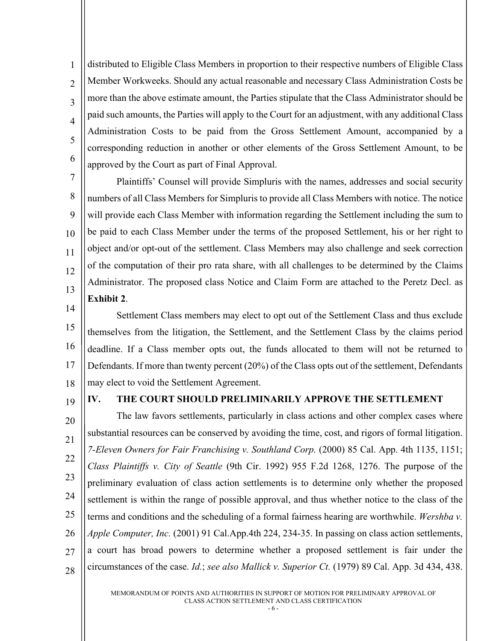1  $\mathfrak{D}$ 3 4 5 6 distributed to Eligible Class Members in proportion to their respective numbers of Eligible Class Member Workweeks. Should any actual reasonable and necessary Class Administration Costs be more than the above estimate amount, the Parties stipulate that the Class Administrator should be paid such amounts, the Parties will apply to the Court for an adjustment, with any additional Class Administration Costs to be paid from the Gross Settlement Amount, accompanied by a corresponding reduction in another or other elements of the Gross Settlement Amount, to be approved by the Court as part of Final Approval.

8 9 10 11 12 13 Plaintiffs' Counsel will provide Simpluris with the names, addresses and social security numbers of all Class Members for Simpluris to provide all Class Members with notice. The notice will provide each Class Member with information regarding the Settlement including the sum to be paid to each Class Member under the terms of the proposed Settlement, his or her right to object and/or opt-out of the settlement. Class Members may also challenge and seek correction of the computation of their pro rata share, with all challenges to be determined by the Claims Administrator. The proposed class Notice and Claim Form are attached to the Peretz Decl. as **Exhibit 2**.

14 15 16 17 18 Settlement Class members may elect to opt out of the Settlement Class and thus exclude themselves from the litigation, the Settlement, and the Settlement Class by the claims period deadline. If a Class member opts out, the funds allocated to them will not be returned to Defendants. If more than twenty percent (20%) of the Class opts out of the settlement, Defendants may elect to void the Settlement Agreement.

19

7

# <span id="page-9-0"></span>**IV. THE COURT SHOULD PRELIMINARILY APPROVE THE SETTLEMENT**

20 21 22 23 24 25 26 27 28 The law favors settlements, particularly in class actions and other complex cases where substantial resources can be conserved by avoiding the time, cost, and rigors of formal litigation. *7-Eleven Owners for Fair Franchising v. Southland Corp.* (2000) 85 Cal. App. 4th 1135, 1151; *Class Plaintiffs v. City of Seattle* (9th Cir. 1992) 955 F.2d 1268, 1276. The purpose of the preliminary evaluation of class action settlements is to determine only whether the proposed settlement is within the range of possible approval, and thus whether notice to the class of the terms and conditions and the scheduling of a formal fairness hearing are worthwhile. *Wershba v. Apple Computer, Inc.* (2001) 91 Cal.App.4th 224, 234-35. In passing on class action settlements, a court has broad powers to determine whether a proposed settlement is fair under the circumstances of the case. *Id.*; *see also Mallick v. Superior Ct.* (1979) 89 Cal. App. 3d 434, 438.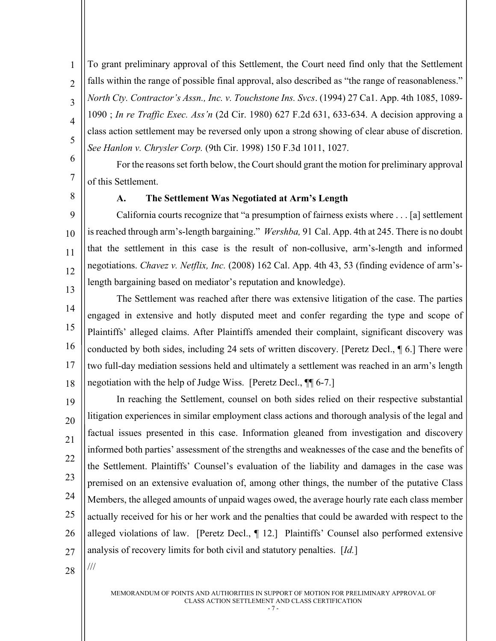To grant preliminary approval of this Settlement, the Court need find only that the Settlement falls within the range of possible final approval, also described as "the range of reasonableness." *North Cty. Contractor's Assn., Inc. v. Touchstone Ins. Svcs*. (1994) 27 Ca1. App. 4th 1085, 1089- 1090 ; *In re Traffic Exec. Ass'n* (2d Cir. 1980) 627 F.2d 631, 633-634. A decision approving a class action settlement may be reversed only upon a strong showing of clear abuse of discretion. *See Hanlon v. Chrysler Corp.* (9th Cir. 1998) 150 F.3d 1011, 1027.

6 7 For the reasons set forth below, the Court should grant the motion for preliminary approval of this Settlement.

<span id="page-10-0"></span>8

9

10

11

12

1

 $\overline{2}$ 

3

4

5

### **A. The Settlement Was Negotiated at Arm's Length**

13 California courts recognize that "a presumption of fairness exists where . . . [a] settlement is reached through arm's-length bargaining." *Wershba,* 91 Cal. App. 4th at 245. There is no doubt that the settlement in this case is the result of non-collusive, arm's-length and informed negotiations. *Chavez v. Netflix, Inc.* (2008) 162 Cal. App. 4th 43, 53 (finding evidence of arm'slength bargaining based on mediator's reputation and knowledge).

14 15 16 17 18 The Settlement was reached after there was extensive litigation of the case. The parties engaged in extensive and hotly disputed meet and confer regarding the type and scope of Plaintiffs' alleged claims. After Plaintiffs amended their complaint, significant discovery was conducted by both sides, including 24 sets of written discovery. [Peretz Decl., ¶ 6.] There were two full-day mediation sessions held and ultimately a settlement was reached in an arm's length negotiation with the help of Judge Wiss. [Peretz Decl., ¶¶ 6-7.]

19 20 21 22 23 24 25 26 27 In reaching the Settlement, counsel on both sides relied on their respective substantial litigation experiences in similar employment class actions and thorough analysis of the legal and factual issues presented in this case. Information gleaned from investigation and discovery informed both parties' assessment of the strengths and weaknesses of the case and the benefits of the Settlement. Plaintiffs' Counsel's evaluation of the liability and damages in the case was premised on an extensive evaluation of, among other things, the number of the putative Class Members, the alleged amounts of unpaid wages owed, the average hourly rate each class member actually received for his or her work and the penalties that could be awarded with respect to the alleged violations of law. [Peretz Decl., ¶ 12.] Plaintiffs' Counsel also performed extensive analysis of recovery limits for both civil and statutory penalties. [*Id.*]

28

///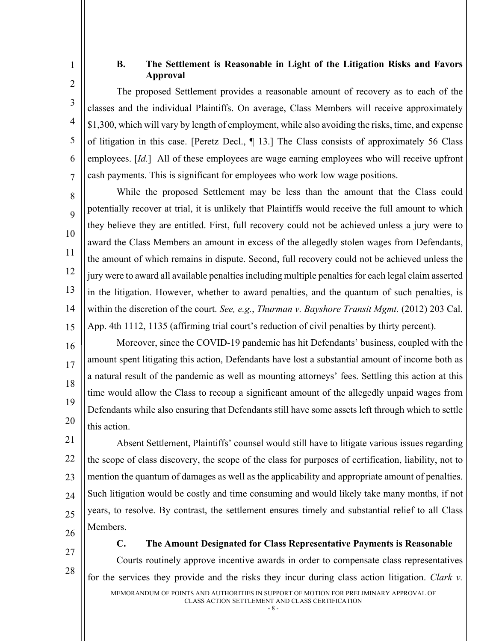# **B. The Settlement is Reasonable in Light of the Litigation Risks and Favors Approval**

The proposed Settlement provides a reasonable amount of recovery as to each of the classes and the individual Plaintiffs. On average, Class Members will receive approximately \$1,300, which will vary by length of employment, while also avoiding the risks, time, and expense of litigation in this case. [Peretz Decl., ¶ 13.] The Class consists of approximately 56 Class employees. [*Id.*] All of these employees are wage earning employees who will receive upfront cash payments. This is significant for employees who work low wage positions.

8  $\overline{Q}$ 10 11 12 13 14 15 While the proposed Settlement may be less than the amount that the Class could potentially recover at trial, it is unlikely that Plaintiffs would receive the full amount to which they believe they are entitled. First, full recovery could not be achieved unless a jury were to award the Class Members an amount in excess of the allegedly stolen wages from Defendants, the amount of which remains in dispute. Second, full recovery could not be achieved unless the jury were to award all available penalties including multiple penalties for each legal claim asserted in the litigation. However, whether to award penalties, and the quantum of such penalties, is within the discretion of the court. *See, e.g.*, *Thurman v. Bayshore Transit Mgmt.* (2012) 203 Cal. App. 4th 1112, 1135 (affirming trial court's reduction of civil penalties by thirty percent).

16 17 18 19 20 Moreover, since the COVID-19 pandemic has hit Defendants' business, coupled with the amount spent litigating this action, Defendants have lost a substantial amount of income both as a natural result of the pandemic as well as mounting attorneys' fees. Settling this action at this time would allow the Class to recoup a significant amount of the allegedly unpaid wages from Defendants while also ensuring that Defendants still have some assets left through which to settle this action.

21 22 23 24 25 26 Absent Settlement, Plaintiffs' counsel would still have to litigate various issues regarding the scope of class discovery, the scope of the class for purposes of certification, liability, not to mention the quantum of damages as well as the applicability and appropriate amount of penalties. Such litigation would be costly and time consuming and would likely take many months, if not years, to resolve. By contrast, the settlement ensures timely and substantial relief to all Class Members.

27

28

<span id="page-11-0"></span>1

2

3

4

5

6

7

<span id="page-11-1"></span>**C. The Amount Designated for Class Representative Payments is Reasonable** Courts routinely approve incentive awards in order to compensate class representatives for the services they provide and the risks they incur during class action litigation. *Clark v.* 

MEMORANDUM OF POINTS AND AUTHORITIES IN SUPPORT OF MOTION FOR PRELIMINARY APPROVAL OF CLASS ACTION SETTLEMENT AND CLASS CERTIFICATION

- 8 -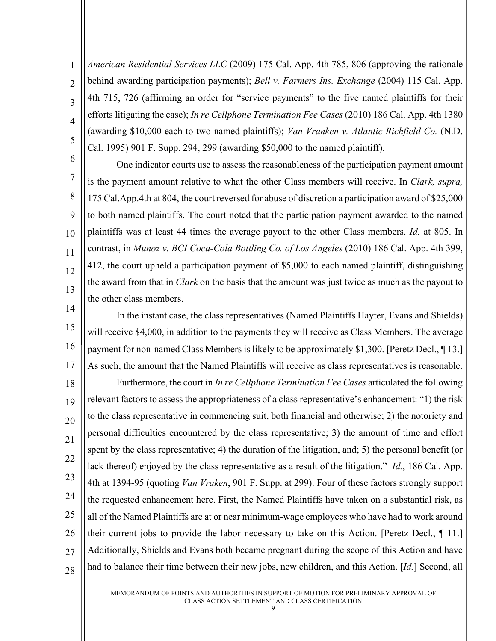$\overline{2}$ 3 4 5 *American Residential Services LLC* (2009) 175 Cal. App. 4th 785, 806 (approving the rationale behind awarding participation payments); *Bell v. Farmers Ins. Exchange* (2004) 115 Cal. App. 4th 715, 726 (affirming an order for "service payments" to the five named plaintiffs for their efforts litigating the case); *In re Cellphone Termination Fee Cases* (2010) 186 Cal. App. 4th 1380 (awarding \$10,000 each to two named plaintiffs); *Van Vranken v. Atlantic Richfield Co.* (N.D. Cal. 1995) 901 F. Supp. 294, 299 (awarding \$50,000 to the named plaintiff).

1

6

7

8

9

10

11

12

13

14

One indicator courts use to assess the reasonableness of the participation payment amount is the payment amount relative to what the other Class members will receive. In *Clark, supra,*  175 Cal.App.4th at 804, the court reversed for abuse of discretion a participation award of \$25,000 to both named plaintiffs. The court noted that the participation payment awarded to the named plaintiffs was at least 44 times the average payout to the other Class members. *Id.* at 805. In contrast, in *Munoz v. BCI Coca-Cola Bottling Co. of Los Angeles* (2010) 186 Cal. App. 4th 399, 412, the court upheld a participation payment of \$5,000 to each named plaintiff, distinguishing the award from that in *Clark* on the basis that the amount was just twice as much as the payout to the other class members.

15 16 17 In the instant case, the class representatives (Named Plaintiffs Hayter, Evans and Shields) will receive \$4,000, in addition to the payments they will receive as Class Members. The average payment for non-named Class Members is likely to be approximately \$1,300. [Peretz Decl., ¶ 13.] As such, the amount that the Named Plaintiffs will receive as class representatives is reasonable.

18 19 20 21 22 23 24 25 26 27 28 Furthermore, the court in *In re Cellphone Termination Fee Cases* articulated the following relevant factors to assess the appropriateness of a class representative's enhancement: "1) the risk to the class representative in commencing suit, both financial and otherwise; 2) the notoriety and personal difficulties encountered by the class representative; 3) the amount of time and effort spent by the class representative; 4) the duration of the litigation, and; 5) the personal benefit (or lack thereof) enjoyed by the class representative as a result of the litigation." *Id.*, 186 Cal. App. 4th at 1394-95 (quoting *Van Vraken*, 901 F. Supp. at 299). Four of these factors strongly support the requested enhancement here. First, the Named Plaintiffs have taken on a substantial risk, as all of the Named Plaintiffs are at or near minimum-wage employees who have had to work around their current jobs to provide the labor necessary to take on this Action. [Peretz Decl., ¶ 11.] Additionally, Shields and Evans both became pregnant during the scope of this Action and have had to balance their time between their new jobs, new children, and this Action. [*Id.*] Second, all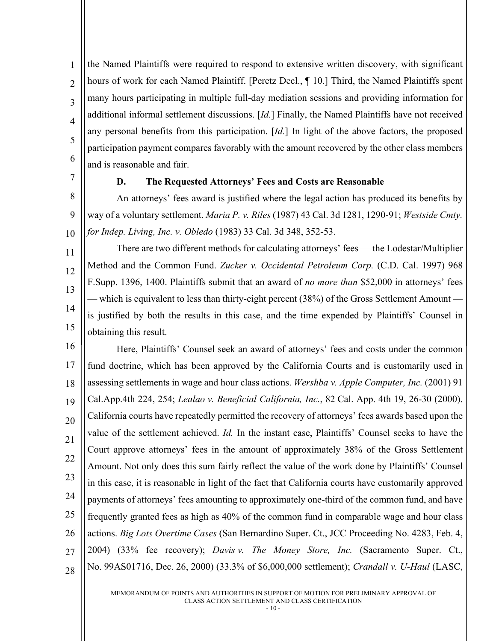1  $\mathfrak{D}$ 3 4 5 6 the Named Plaintiffs were required to respond to extensive written discovery, with significant hours of work for each Named Plaintiff. [Peretz Decl., ¶ 10.] Third, the Named Plaintiffs spent many hours participating in multiple full-day mediation sessions and providing information for additional informal settlement discussions. [*Id.*] Finally, the Named Plaintiffs have not received any personal benefits from this participation. [*Id.*] In light of the above factors, the proposed participation payment compares favorably with the amount recovered by the other class members and is reasonable and fair.

<span id="page-13-0"></span>7

## **D. The Requested Attorneys' Fees and Costs are Reasonable**

8 9 10 An attorneys' fees award is justified where the legal action has produced its benefits by way of a voluntary settlement. *Maria P. v. Riles* (1987) 43 Cal. 3d 1281, 1290-91; *Westside Cmty. for Indep. Living, Inc. v. Obledo* (1983) 33 Cal. 3d 348, 352-53.

11 12 13 14 15 There are two different methods for calculating attorneys' fees — the Lodestar/Multiplier Method and the Common Fund. *Zucker v. Occidental Petroleum Corp.* (C.D. Cal. 1997) 968 F.Supp. 1396, 1400. Plaintiffs submit that an award of *no more than* \$52,000 in attorneys' fees — which is equivalent to less than thirty-eight percent (38%) of the Gross Settlement Amount is justified by both the results in this case, and the time expended by Plaintiffs' Counsel in obtaining this result.

16 17 18 19 20 21 22 23 24 25 26 27 28 Here, Plaintiffs' Counsel seek an award of attorneys' fees and costs under the common fund doctrine, which has been approved by the California Courts and is customarily used in assessing settlements in wage and hour class actions. *Wershba v. Apple Computer, Inc.* (2001) 91 Cal.App.4th 224, 254; *Lealao v. Beneficial California, Inc.*, 82 Cal. App. 4th 19, 26-30 (2000). California courts have repeatedly permitted the recovery of attorneys' fees awards based upon the value of the settlement achieved. *Id.* In the instant case, Plaintiffs' Counsel seeks to have the Court approve attorneys' fees in the amount of approximately 38% of the Gross Settlement Amount. Not only does this sum fairly reflect the value of the work done by Plaintiffs' Counsel in this case, it is reasonable in light of the fact that California courts have customarily approved payments of attorneys' fees amounting to approximately one-third of the common fund, and have frequently granted fees as high as 40% of the common fund in comparable wage and hour class actions. *Big Lots Overtime Cases* (San Bernardino Super. Ct., JCC Proceeding No. 4283, Feb. 4, 2004) (33% fee recovery); *Davis v. The Money Store, Inc.* (Sacramento Super. Ct., No. 99AS01716, Dec. 26, 2000) (33.3% of \$6,000,000 settlement); *Crandall v. U-Haul* (LASC,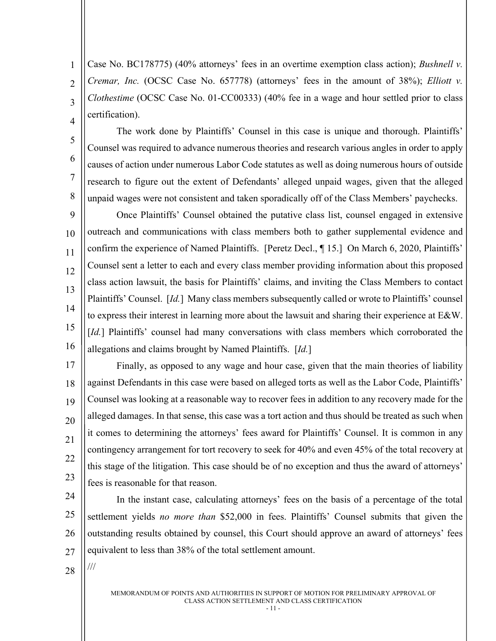Case No. BC178775) (40% attorneys' fees in an overtime exemption class action); *Bushnell v. Cremar, Inc.* (OCSC Case No. 657778) (attorneys' fees in the amount of 38%); *Elliott v. Clothestime* (OCSC Case No. 01-CC00333) (40% fee in a wage and hour settled prior to class certification).

4 5

6

7

8

1

 $\overline{2}$ 

3

The work done by Plaintiffs' Counsel in this case is unique and thorough. Plaintiffs' Counsel was required to advance numerous theories and research various angles in order to apply causes of action under numerous Labor Code statutes as well as doing numerous hours of outside research to figure out the extent of Defendants' alleged unpaid wages, given that the alleged unpaid wages were not consistent and taken sporadically off of the Class Members' paychecks.

 $\overline{Q}$ 10 11 12 13 14 15 16 Once Plaintiffs' Counsel obtained the putative class list, counsel engaged in extensive outreach and communications with class members both to gather supplemental evidence and confirm the experience of Named Plaintiffs. [Peretz Decl., ¶ 15.] On March 6, 2020, Plaintiffs' Counsel sent a letter to each and every class member providing information about this proposed class action lawsuit, the basis for Plaintiffs' claims, and inviting the Class Members to contact Plaintiffs' Counsel. [*Id.*] Many class members subsequently called or wrote to Plaintiffs' counsel to express their interest in learning more about the lawsuit and sharing their experience at E&W. [*Id.*] Plaintiffs' counsel had many conversations with class members which corroborated the allegations and claims brought by Named Plaintiffs. [*Id.*]

17 18 19 20 21 22 23 Finally, as opposed to any wage and hour case, given that the main theories of liability against Defendants in this case were based on alleged torts as well as the Labor Code, Plaintiffs' Counsel was looking at a reasonable way to recover fees in addition to any recovery made for the alleged damages. In that sense, this case was a tort action and thus should be treated as such when it comes to determining the attorneys' fees award for Plaintiffs' Counsel. It is common in any contingency arrangement for tort recovery to seek for 40% and even 45% of the total recovery at this stage of the litigation. This case should be of no exception and thus the award of attorneys' fees is reasonable for that reason.

24 25 26 27 In the instant case, calculating attorneys' fees on the basis of a percentage of the total settlement yields *no more than* \$52,000 in fees. Plaintiffs' Counsel submits that given the outstanding results obtained by counsel, this Court should approve an award of attorneys' fees equivalent to less than 38% of the total settlement amount.

28

///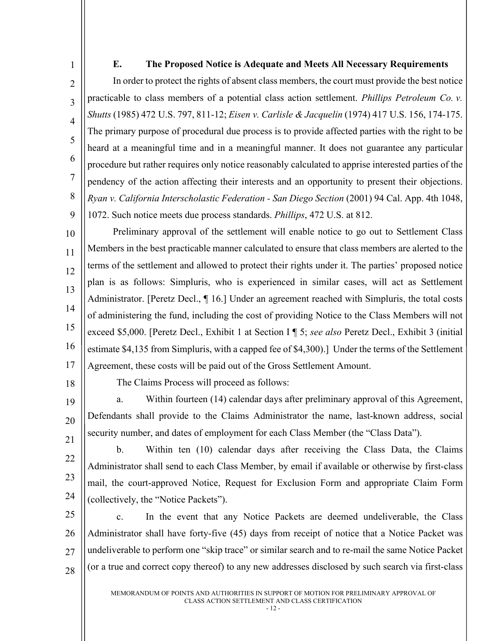## **E. The Proposed Notice is Adequate and Meets All Necessary Requirements**

In order to protect the rights of absent class members, the court must provide the best notice practicable to class members of a potential class action settlement. *Phillips Petroleum Co. v. Shutts* (1985) 472 U.S. 797, 811-12; *Eisen v. Carlisle & Jacquelin* (1974) 417 U.S. 156, 174-175. The primary purpose of procedural due process is to provide affected parties with the right to be heard at a meaningful time and in a meaningful manner. It does not guarantee any particular procedure but rather requires only notice reasonably calculated to apprise interested parties of the pendency of the action affecting their interests and an opportunity to present their objections. *Ryan v. California Interscholastic Federation - San Diego Section* (2001) 94 Cal. App. 4th 1048, 1072. Such notice meets due process standards. *Phillips*, 472 U.S. at 812.

10 11 12 13 14 15 16 17 Preliminary approval of the settlement will enable notice to go out to Settlement Class Members in the best practicable manner calculated to ensure that class members are alerted to the terms of the settlement and allowed to protect their rights under it. The parties' proposed notice plan is as follows: Simpluris, who is experienced in similar cases, will act as Settlement Administrator. [Peretz Decl., ¶ 16.] Under an agreement reached with Simpluris, the total costs of administering the fund, including the cost of providing Notice to the Class Members will not exceed \$5,000. [Peretz Decl., Exhibit 1 at Section I ¶ 5; *see also* Peretz Decl., Exhibit 3 (initial estimate \$4,135 from Simpluris, with a capped fee of \$4,300).] Under the terms of the Settlement Agreement, these costs will be paid out of the Gross Settlement Amount.

18

22

23

24

<span id="page-15-0"></span>1

 $\mathfrak{D}$ 

3

4

5

6

7

8

9

The Claims Process will proceed as follows:

19 20 21 a. Within fourteen (14) calendar days after preliminary approval of this Agreement, Defendants shall provide to the Claims Administrator the name, last-known address, social security number, and dates of employment for each Class Member (the "Class Data").

b. Within ten (10) calendar days after receiving the Class Data, the Claims Administrator shall send to each Class Member, by email if available or otherwise by first-class mail, the court-approved Notice, Request for Exclusion Form and appropriate Claim Form (collectively, the "Notice Packets").

25 26 27 28 c. In the event that any Notice Packets are deemed undeliverable, the Class Administrator shall have forty-five (45) days from receipt of notice that a Notice Packet was undeliverable to perform one "skip trace" or similar search and to re-mail the same Notice Packet (or a true and correct copy thereof) to any new addresses disclosed by such search via first-class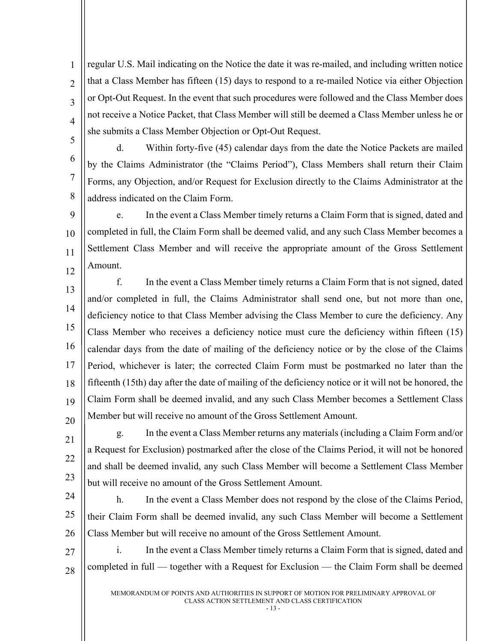1  $\mathfrak{D}$ 3 4 regular U.S. Mail indicating on the Notice the date it was re-mailed, and including written notice that a Class Member has fifteen (15) days to respond to a re-mailed Notice via either Objection or Opt-Out Request. In the event that such procedures were followed and the Class Member does not receive a Notice Packet, that Class Member will still be deemed a Class Member unless he or she submits a Class Member Objection or Opt-Out Request.

5 6

7

8

d. Within forty-five (45) calendar days from the date the Notice Packets are mailed by the Claims Administrator (the "Claims Period"), Class Members shall return their Claim Forms, any Objection, and/or Request for Exclusion directly to the Claims Administrator at the address indicated on the Claim Form.

9 10 11 12 e. In the event a Class Member timely returns a Claim Form that is signed, dated and completed in full, the Claim Form shall be deemed valid, and any such Class Member becomes a Settlement Class Member and will receive the appropriate amount of the Gross Settlement Amount.

13 14 15 16 17 18 19 20 f. In the event a Class Member timely returns a Claim Form that is not signed, dated and/or completed in full, the Claims Administrator shall send one, but not more than one, deficiency notice to that Class Member advising the Class Member to cure the deficiency. Any Class Member who receives a deficiency notice must cure the deficiency within fifteen (15) calendar days from the date of mailing of the deficiency notice or by the close of the Claims Period, whichever is later; the corrected Claim Form must be postmarked no later than the fifteenth (15th) day after the date of mailing of the deficiency notice or it will not be honored, the Claim Form shall be deemed invalid, and any such Class Member becomes a Settlement Class Member but will receive no amount of the Gross Settlement Amount.

21 22 23 g. In the event a Class Member returns any materials (including a Claim Form and/or a Request for Exclusion) postmarked after the close of the Claims Period, it will not be honored and shall be deemed invalid, any such Class Member will become a Settlement Class Member but will receive no amount of the Gross Settlement Amount.

24 25 26 h. In the event a Class Member does not respond by the close of the Claims Period, their Claim Form shall be deemed invalid, any such Class Member will become a Settlement Class Member but will receive no amount of the Gross Settlement Amount.

27 28 i. In the event a Class Member timely returns a Claim Form that is signed, dated and completed in full — together with a Request for Exclusion — the Claim Form shall be deemed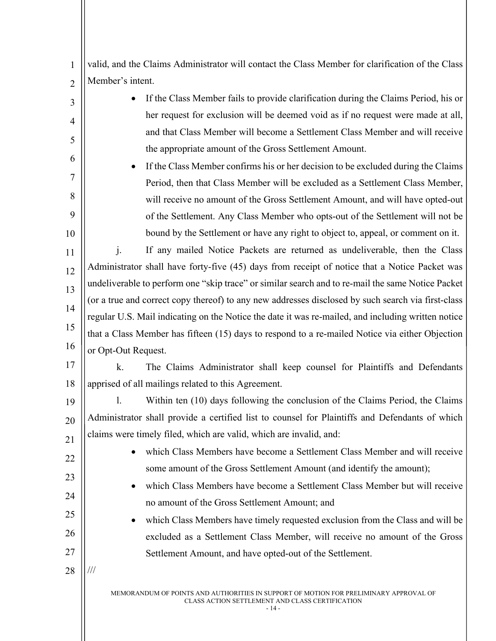1  $\overline{2}$ valid, and the Claims Administrator will contact the Class Member for clarification of the Class Member's intent.

- If the Class Member fails to provide clarification during the Claims Period, his or her request for exclusion will be deemed void as if no request were made at all, and that Class Member will become a Settlement Class Member and will receive the appropriate amount of the Gross Settlement Amount.
- If the Class Member confirms his or her decision to be excluded during the Claims Period, then that Class Member will be excluded as a Settlement Class Member, will receive no amount of the Gross Settlement Amount, and will have opted-out of the Settlement. Any Class Member who opts-out of the Settlement will not be bound by the Settlement or have any right to object to, appeal, or comment on it.

11 12 13 14 15 16 j. If any mailed Notice Packets are returned as undeliverable, then the Class Administrator shall have forty-five (45) days from receipt of notice that a Notice Packet was undeliverable to perform one "skip trace" or similar search and to re-mail the same Notice Packet (or a true and correct copy thereof) to any new addresses disclosed by such search via first-class regular U.S. Mail indicating on the Notice the date it was re-mailed, and including written notice that a Class Member has fifteen (15) days to respond to a re-mailed Notice via either Objection or Opt-Out Request.

17 18 k. The Claims Administrator shall keep counsel for Plaintiffs and Defendants apprised of all mailings related to this Agreement.

19 20 21 l. Within ten (10) days following the conclusion of the Claims Period, the Claims Administrator shall provide a certified list to counsel for Plaintiffs and Defendants of which claims were timely filed, which are valid, which are invalid, and:

- which Class Members have become a Settlement Class Member and will receive some amount of the Gross Settlement Amount (and identify the amount);
- which Class Members have become a Settlement Class Member but will receive no amount of the Gross Settlement Amount; and

• which Class Members have timely requested exclusion from the Class and will be excluded as a Settlement Class Member, will receive no amount of the Gross Settlement Amount, and have opted-out of the Settlement.

28 ///

22

23

24

25

26

27

3

4

5

6

7

8

 $\overline{Q}$ 

10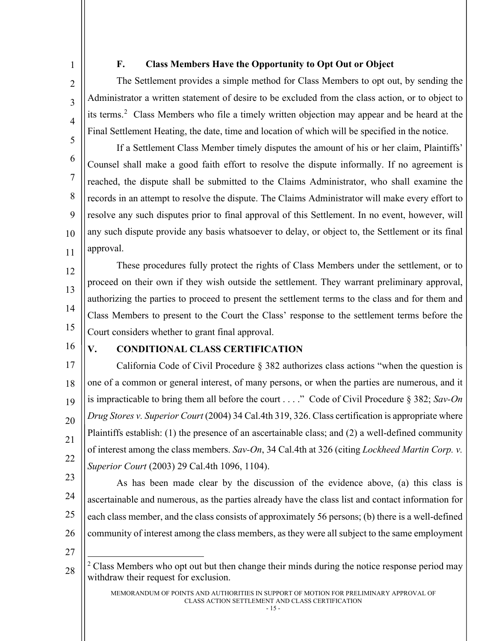<span id="page-18-0"></span>1

 $\mathfrak{D}$ 

3

4

5

6

7

8

9

10

11

# **F. Class Members Have the Opportunity to Opt Out or Object**

The Settlement provides a simple method for Class Members to opt out, by sending the Administrator a written statement of desire to be excluded from the class action, or to object to its terms.<sup>[2](#page-18-2)</sup> Class Members who file a timely written objection may appear and be heard at the Final Settlement Heating, the date, time and location of which will be specified in the notice.

If a Settlement Class Member timely disputes the amount of his or her claim, Plaintiffs' Counsel shall make a good faith effort to resolve the dispute informally. If no agreement is reached, the dispute shall be submitted to the Claims Administrator, who shall examine the records in an attempt to resolve the dispute. The Claims Administrator will make every effort to resolve any such disputes prior to final approval of this Settlement. In no event, however, will any such dispute provide any basis whatsoever to delay, or object to, the Settlement or its final approval.

12 13 14 15 These procedures fully protect the rights of Class Members under the settlement, or to proceed on their own if they wish outside the settlement. They warrant preliminary approval, authorizing the parties to proceed to present the settlement terms to the class and for them and Class Members to present to the Court the Class' response to the settlement terms before the Court considers whether to grant final approval.

16

# <span id="page-18-1"></span>**V. CONDITIONAL CLASS CERTIFICATION**

17 18 19 20 21 22 California Code of Civil Procedure § 382 authorizes class actions "when the question is one of a common or general interest, of many persons, or when the parties are numerous, and it is impracticable to bring them all before the court . . . ." Code of Civil Procedure § 382; *Sav-On Drug Stores v. Superior Court* (2004) 34 Cal.4th 319, 326. Class certification is appropriate where Plaintiffs establish: (1) the presence of an ascertainable class; and (2) a well-defined community of interest among the class members. *Sav-On*, 34 Cal.4th at 326 (citing *Lockheed Martin Corp. v. Superior Court* (2003) 29 Cal.4th 1096, 1104).

23

24 25 26 As has been made clear by the discussion of the evidence above, (a) this class is ascertainable and numerous, as the parties already have the class list and contact information for each class member, and the class consists of approximately 56 persons; (b) there is a well-defined community of interest among the class members, as they were all subject to the same employment

27

<span id="page-18-2"></span>28

 $2$  Class Members who opt out but then change their minds during the notice response period may withdraw their request for exclusion.